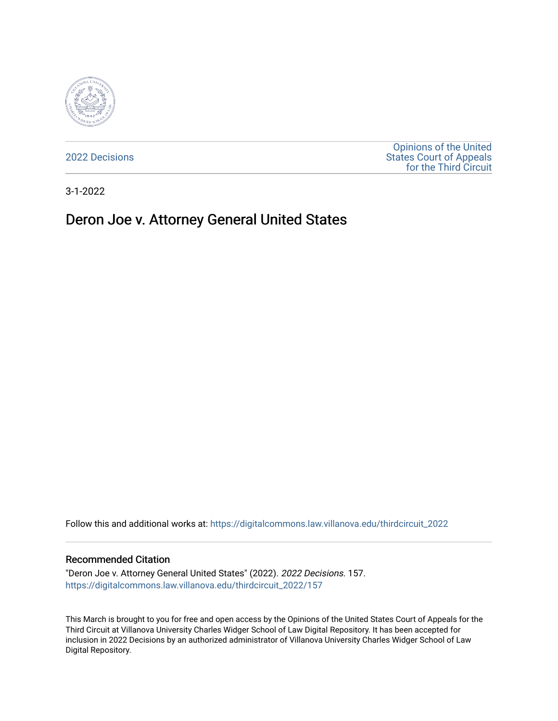

[2022 Decisions](https://digitalcommons.law.villanova.edu/thirdcircuit_2022)

[Opinions of the United](https://digitalcommons.law.villanova.edu/thirdcircuit)  [States Court of Appeals](https://digitalcommons.law.villanova.edu/thirdcircuit)  [for the Third Circuit](https://digitalcommons.law.villanova.edu/thirdcircuit) 

3-1-2022

# Deron Joe v. Attorney General United States

Follow this and additional works at: [https://digitalcommons.law.villanova.edu/thirdcircuit\\_2022](https://digitalcommons.law.villanova.edu/thirdcircuit_2022?utm_source=digitalcommons.law.villanova.edu%2Fthirdcircuit_2022%2F157&utm_medium=PDF&utm_campaign=PDFCoverPages) 

#### Recommended Citation

"Deron Joe v. Attorney General United States" (2022). 2022 Decisions. 157. [https://digitalcommons.law.villanova.edu/thirdcircuit\\_2022/157](https://digitalcommons.law.villanova.edu/thirdcircuit_2022/157?utm_source=digitalcommons.law.villanova.edu%2Fthirdcircuit_2022%2F157&utm_medium=PDF&utm_campaign=PDFCoverPages)

This March is brought to you for free and open access by the Opinions of the United States Court of Appeals for the Third Circuit at Villanova University Charles Widger School of Law Digital Repository. It has been accepted for inclusion in 2022 Decisions by an authorized administrator of Villanova University Charles Widger School of Law Digital Repository.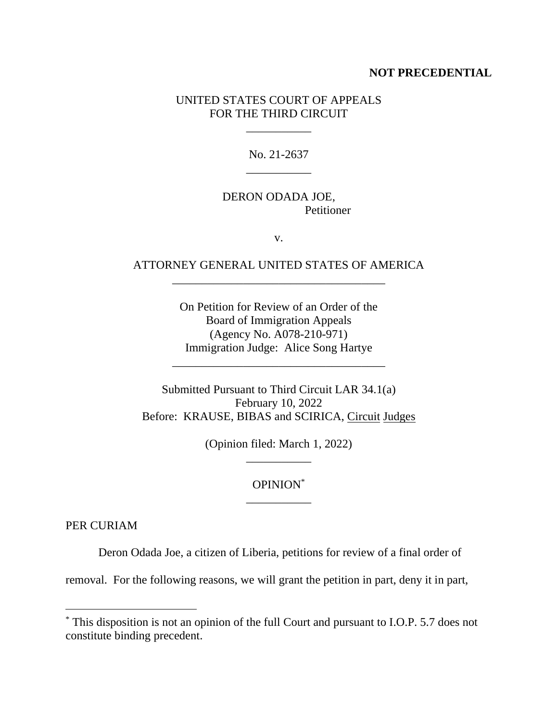#### **NOT PRECEDENTIAL**

#### UNITED STATES COURT OF APPEALS FOR THE THIRD CIRCUIT

\_\_\_\_\_\_\_\_\_\_\_

No. 21-2637 \_\_\_\_\_\_\_\_\_\_\_

# DERON ODADA JOE, Petitioner

v.

# ATTORNEY GENERAL UNITED STATES OF AMERICA \_\_\_\_\_\_\_\_\_\_\_\_\_\_\_\_\_\_\_\_\_\_\_\_\_\_\_\_\_\_\_\_\_\_\_\_

On Petition for Review of an Order of the Board of Immigration Appeals (Agency No. A078-210-971) Immigration Judge: Alice Song Hartye

\_\_\_\_\_\_\_\_\_\_\_\_\_\_\_\_\_\_\_\_\_\_\_\_\_\_\_\_\_\_\_\_\_\_\_\_

Submitted Pursuant to Third Circuit LAR 34.1(a) February 10, 2022 Before: KRAUSE, BIBAS and SCIRICA, Circuit Judges

> (Opinion filed: March 1, 2022) \_\_\_\_\_\_\_\_\_\_\_

### OPINION\* \_\_\_\_\_\_\_\_\_\_\_

PER CURIAM

Deron Odada Joe, a citizen of Liberia, petitions for review of a final order of

removal. For the following reasons, we will grant the petition in part, deny it in part,

<sup>\*</sup> This disposition is not an opinion of the full Court and pursuant to I.O.P. 5.7 does not constitute binding precedent.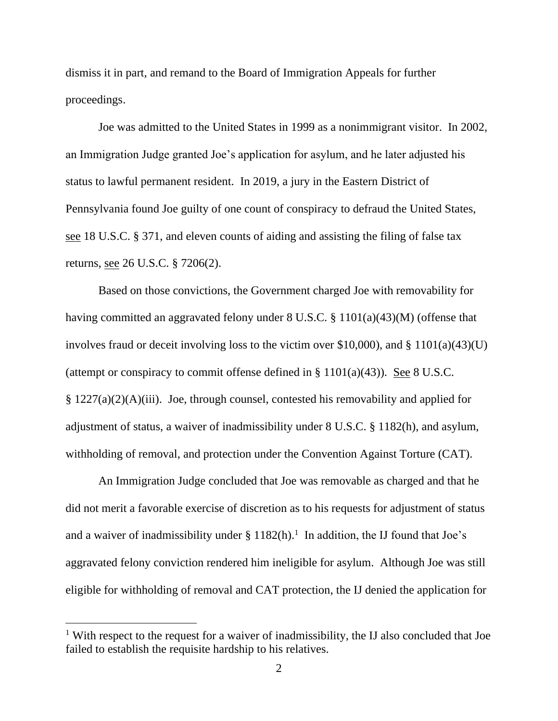dismiss it in part, and remand to the Board of Immigration Appeals for further proceedings.

Joe was admitted to the United States in 1999 as a nonimmigrant visitor. In 2002, an Immigration Judge granted Joe's application for asylum, and he later adjusted his status to lawful permanent resident. In 2019, a jury in the Eastern District of Pennsylvania found Joe guilty of one count of conspiracy to defraud the United States, see 18 U.S.C. § 371, and eleven counts of aiding and assisting the filing of false tax returns, see 26 U.S.C. § 7206(2).

Based on those convictions, the Government charged Joe with removability for having committed an aggravated felony under 8 U.S.C. § 1101(a)(43)(M) (offense that involves fraud or deceit involving loss to the victim over \$10,000), and § 1101(a)(43)(U) (attempt or conspiracy to commit offense defined in  $\S 1101(a)(43)$ ). See 8 U.S.C. § 1227(a)(2)(A)(iii). Joe, through counsel, contested his removability and applied for adjustment of status, a waiver of inadmissibility under 8 U.S.C. § 1182(h), and asylum, withholding of removal, and protection under the Convention Against Torture (CAT).

An Immigration Judge concluded that Joe was removable as charged and that he did not merit a favorable exercise of discretion as to his requests for adjustment of status and a waiver of inadmissibility under  $\S 1182(h)$ .<sup>1</sup> In addition, the IJ found that Joe's aggravated felony conviction rendered him ineligible for asylum. Although Joe was still eligible for withholding of removal and CAT protection, the IJ denied the application for

<sup>&</sup>lt;sup>1</sup> With respect to the request for a waiver of inadmissibility, the IJ also concluded that Joe failed to establish the requisite hardship to his relatives.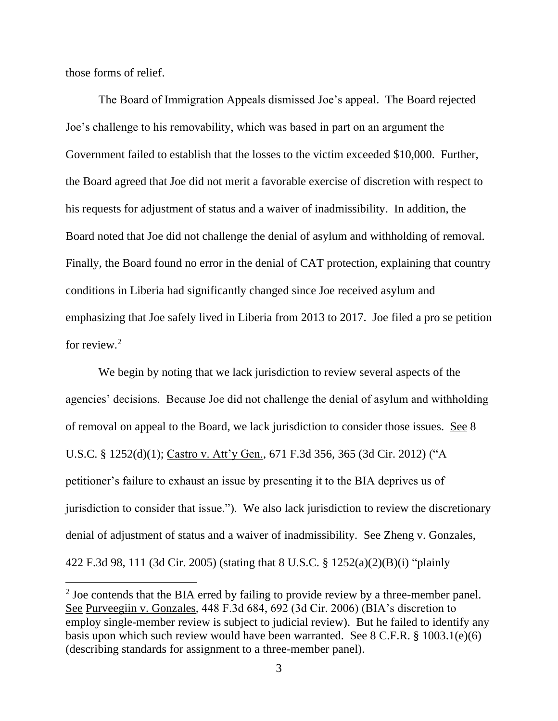those forms of relief.

The Board of Immigration Appeals dismissed Joe's appeal. The Board rejected Joe's challenge to his removability, which was based in part on an argument the Government failed to establish that the losses to the victim exceeded \$10,000. Further, the Board agreed that Joe did not merit a favorable exercise of discretion with respect to his requests for adjustment of status and a waiver of inadmissibility. In addition, the Board noted that Joe did not challenge the denial of asylum and withholding of removal. Finally, the Board found no error in the denial of CAT protection, explaining that country conditions in Liberia had significantly changed since Joe received asylum and emphasizing that Joe safely lived in Liberia from 2013 to 2017. Joe filed a pro se petition for review.<sup>2</sup>

We begin by noting that we lack jurisdiction to review several aspects of the agencies' decisions. Because Joe did not challenge the denial of asylum and withholding of removal on appeal to the Board, we lack jurisdiction to consider those issues. See 8 U.S.C. § 1252(d)(1); Castro v. Att'y Gen., 671 F.3d 356, 365 (3d Cir. 2012) ("A petitioner's failure to exhaust an issue by presenting it to the BIA deprives us of jurisdiction to consider that issue."). We also lack jurisdiction to review the discretionary denial of adjustment of status and a waiver of inadmissibility. See Zheng v. Gonzales, 422 F.3d 98, 111 (3d Cir. 2005) (stating that 8 U.S.C. § 1252(a)(2)(B)(i) "plainly

 $2^2$  Joe contends that the BIA erred by failing to provide review by a three-member panel. See Purveegiin v. Gonzales, 448 F.3d 684, 692 (3d Cir. 2006) (BIA's discretion to employ single-member review is subject to judicial review). But he failed to identify any basis upon which such review would have been warranted. See 8 C.F.R. § 1003.1(e)(6) (describing standards for assignment to a three-member panel).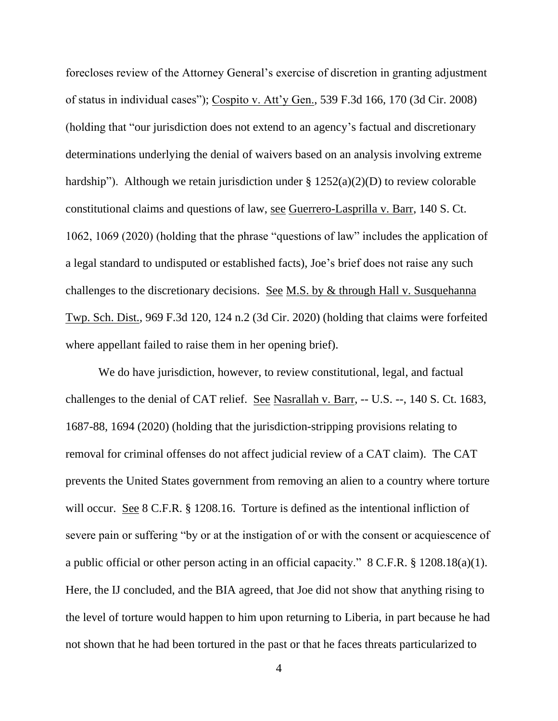forecloses review of the Attorney General's exercise of discretion in granting adjustment of status in individual cases"); Cospito v. Att'y Gen., 539 F.3d 166, 170 (3d Cir. 2008) (holding that "our jurisdiction does not extend to an agency's factual and discretionary determinations underlying the denial of waivers based on an analysis involving extreme hardship"). Although we retain jurisdiction under  $\S 1252(a)(2)(D)$  to review colorable constitutional claims and questions of law, see Guerrero-Lasprilla v. Barr, 140 S. Ct. 1062, 1069 (2020) (holding that the phrase "questions of law" includes the application of a legal standard to undisputed or established facts), Joe's brief does not raise any such challenges to the discretionary decisions. See M.S. by & through Hall v. Susquehanna Twp. Sch. Dist., 969 F.3d 120, 124 n.2 (3d Cir. 2020) (holding that claims were forfeited where appellant failed to raise them in her opening brief).

We do have jurisdiction, however, to review constitutional, legal, and factual challenges to the denial of CAT relief. See Nasrallah v. Barr, -- U.S. --, 140 S. Ct. 1683, 1687-88, 1694 (2020) (holding that the jurisdiction-stripping provisions relating to removal for criminal offenses do not affect judicial review of a CAT claim). The CAT prevents the United States government from removing an alien to a country where torture will occur. See 8 C.F.R. § 1208.16. Torture is defined as the intentional infliction of severe pain or suffering "by or at the instigation of or with the consent or acquiescence of a public official or other person acting in an official capacity." 8 C.F.R. § 1208.18(a)(1). Here, the IJ concluded, and the BIA agreed, that Joe did not show that anything rising to the level of torture would happen to him upon returning to Liberia, in part because he had not shown that he had been tortured in the past or that he faces threats particularized to

4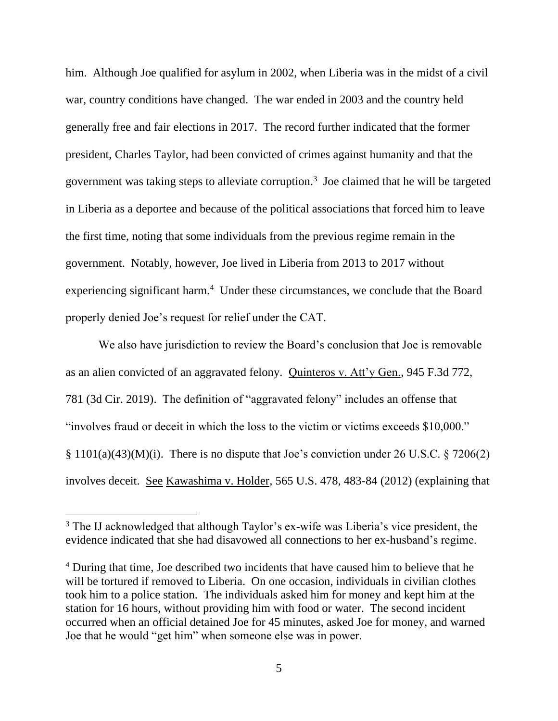him. Although Joe qualified for asylum in 2002, when Liberia was in the midst of a civil war, country conditions have changed. The war ended in 2003 and the country held generally free and fair elections in 2017. The record further indicated that the former president, Charles Taylor, had been convicted of crimes against humanity and that the government was taking steps to alleviate corruption.<sup>3</sup> Joe claimed that he will be targeted in Liberia as a deportee and because of the political associations that forced him to leave the first time, noting that some individuals from the previous regime remain in the government. Notably, however, Joe lived in Liberia from 2013 to 2017 without experiencing significant harm.<sup>4</sup> Under these circumstances, we conclude that the Board properly denied Joe's request for relief under the CAT.

We also have jurisdiction to review the Board's conclusion that Joe is removable as an alien convicted of an aggravated felony. Quinteros v. Att'y Gen., 945 F.3d 772, 781 (3d Cir. 2019). The definition of "aggravated felony" includes an offense that "involves fraud or deceit in which the loss to the victim or victims exceeds \$10,000."  $\S$  1101(a)(43)(M)(i). There is no dispute that Joe's conviction under 26 U.S.C.  $\S$  7206(2) involves deceit. See Kawashima v. Holder, 565 U.S. 478, 483-84 (2012) (explaining that

<sup>&</sup>lt;sup>3</sup> The IJ acknowledged that although Taylor's ex-wife was Liberia's vice president, the evidence indicated that she had disavowed all connections to her ex-husband's regime.

<sup>&</sup>lt;sup>4</sup> During that time, Joe described two incidents that have caused him to believe that he will be tortured if removed to Liberia. On one occasion, individuals in civilian clothes took him to a police station. The individuals asked him for money and kept him at the station for 16 hours, without providing him with food or water. The second incident occurred when an official detained Joe for 45 minutes, asked Joe for money, and warned Joe that he would "get him" when someone else was in power.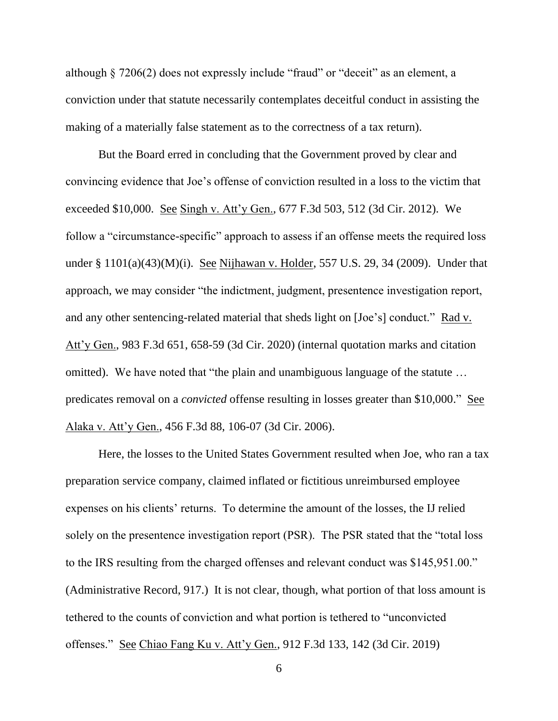although § 7206(2) does not expressly include "fraud" or "deceit" as an element, a conviction under that statute necessarily contemplates deceitful conduct in assisting the making of a materially false statement as to the correctness of a tax return).

But the Board erred in concluding that the Government proved by clear and convincing evidence that Joe's offense of conviction resulted in a loss to the victim that exceeded \$10,000. See Singh v. Att'y Gen., 677 F.3d 503, 512 (3d Cir. 2012). We follow a "circumstance-specific" approach to assess if an offense meets the required loss under § 1101(a)(43)(M)(i). See Nijhawan v. Holder, 557 U.S. 29, 34 (2009). Under that approach, we may consider "the indictment, judgment, presentence investigation report, and any other sentencing-related material that sheds light on [Joe's] conduct." Rad v. Att'y Gen., 983 F.3d 651, 658-59 (3d Cir. 2020) (internal quotation marks and citation omitted). We have noted that "the plain and unambiguous language of the statute … predicates removal on a *convicted* offense resulting in losses greater than \$10,000." See Alaka v. Att'y Gen., 456 F.3d 88, 106-07 (3d Cir. 2006).

Here, the losses to the United States Government resulted when Joe, who ran a tax preparation service company, claimed inflated or fictitious unreimbursed employee expenses on his clients' returns. To determine the amount of the losses, the IJ relied solely on the presentence investigation report (PSR). The PSR stated that the "total loss to the IRS resulting from the charged offenses and relevant conduct was \$145,951.00." (Administrative Record, 917.) It is not clear, though, what portion of that loss amount is tethered to the counts of conviction and what portion is tethered to "unconvicted offenses." See Chiao Fang Ku v. Att'y Gen., 912 F.3d 133, 142 (3d Cir. 2019)

6